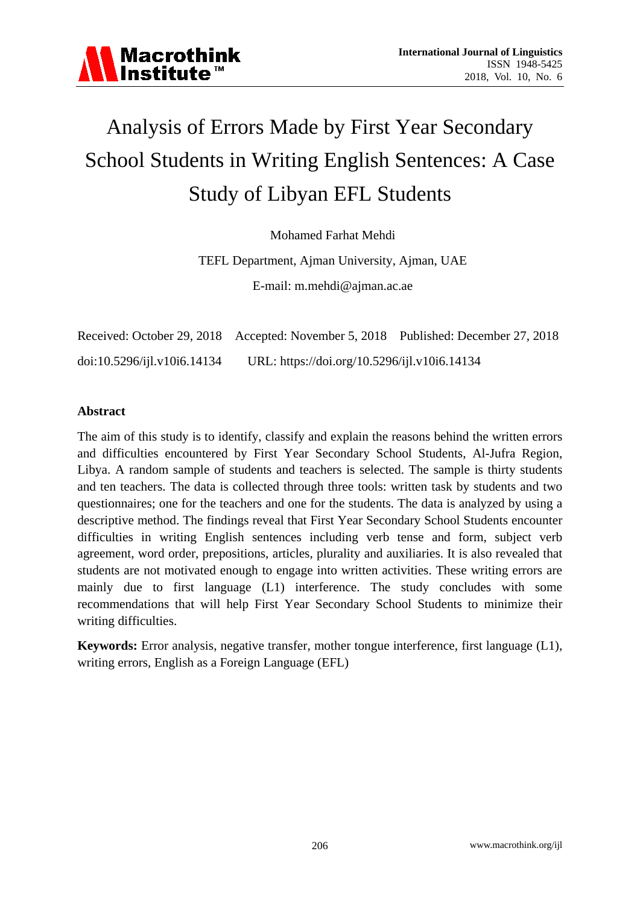

# Analysis of Errors Made by First Year Secondary School Students in Writing English Sentences: A Case Study of Libyan EFL Students

Mohamed Farhat Mehdi

TEFL Department, Ajman University, Ajman, UAE E-mail: m.mehdi@ajman.ac.ae

|                             |                                              | Received: October 29, 2018 Accepted: November 5, 2018 Published: December 27, 2018 |
|-----------------------------|----------------------------------------------|------------------------------------------------------------------------------------|
| doi:10.5296/ijl.v10i6.14134 | URL: https://doi.org/10.5296/ijl.v10i6.14134 |                                                                                    |

#### **Abstract**

The aim of this study is to identify, classify and explain the reasons behind the written errors and difficulties encountered by First Year Secondary School Students, Al-Jufra Region, Libya. A random sample of students and teachers is selected. The sample is thirty students and ten teachers. The data is collected through three tools: written task by students and two questionnaires; one for the teachers and one for the students. The data is analyzed by using a descriptive method. The findings reveal that First Year Secondary School Students encounter difficulties in writing English sentences including verb tense and form, subject verb agreement, word order, prepositions, articles, plurality and auxiliaries. It is also revealed that students are not motivated enough to engage into written activities. These writing errors are mainly due to first language (L1) interference. The study concludes with some recommendations that will help First Year Secondary School Students to minimize their writing difficulties.

**Keywords:** Error analysis, negative transfer, mother tongue interference, first language (L1), writing errors, English as a Foreign Language (EFL)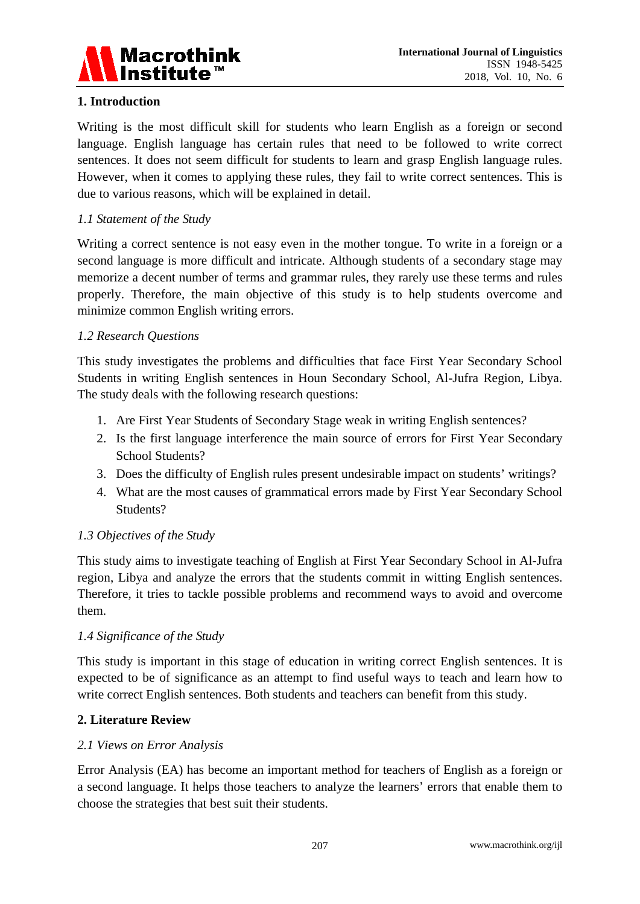

## **1. Introduction**

Writing is the most difficult skill for students who learn English as a foreign or second language. English language has certain rules that need to be followed to write correct sentences. It does not seem difficult for students to learn and grasp English language rules. However, when it comes to applying these rules, they fail to write correct sentences. This is due to various reasons, which will be explained in detail.

## *1.1 Statement of the Study*

Writing a correct sentence is not easy even in the mother tongue. To write in a foreign or a second language is more difficult and intricate. Although students of a secondary stage may memorize a decent number of terms and grammar rules, they rarely use these terms and rules properly. Therefore, the main objective of this study is to help students overcome and minimize common English writing errors.

### *1.2 Research Questions*

This study investigates the problems and difficulties that face First Year Secondary School Students in writing English sentences in Houn Secondary School, Al-Jufra Region, Libya. The study deals with the following research questions:

- 1. Are First Year Students of Secondary Stage weak in writing English sentences?
- 2. Is the first language interference the main source of errors for First Year Secondary School Students?
- 3. Does the difficulty of English rules present undesirable impact on students' writings?
- 4. What are the most causes of grammatical errors made by First Year Secondary School Students?

## *1.3 Objectives of the Study*

This study aims to investigate teaching of English at First Year Secondary School in Al-Jufra region, Libya and analyze the errors that the students commit in witting English sentences. Therefore, it tries to tackle possible problems and recommend ways to avoid and overcome them.

#### *1.4 Significance of the Study*

This study is important in this stage of education in writing correct English sentences. It is expected to be of significance as an attempt to find useful ways to teach and learn how to write correct English sentences. Both students and teachers can benefit from this study.

#### **2. Literature Review**

#### *2.1 Views on Error Analysis*

Error Analysis (EA) has become an important method for teachers of English as a foreign or a second language. It helps those teachers to analyze the learners' errors that enable them to choose the strategies that best suit their students.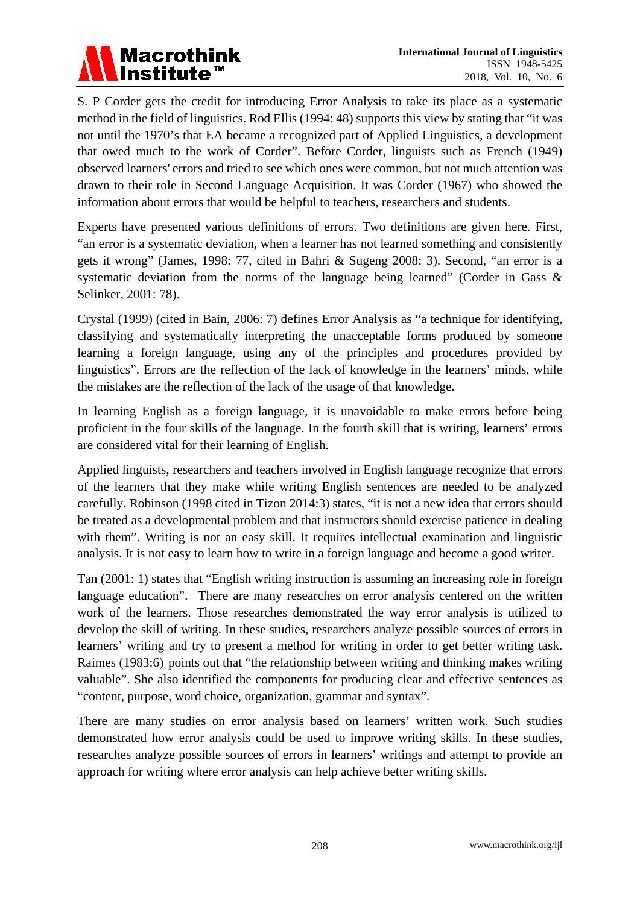S. P Corder gets the credit for introducing Error Analysis to take its place as a systematic method in the field of linguistics. Rod Ellis (1994: 48) supports this view by stating that "it was not until the 1970's that EA became a recognized part of Applied Linguistics, a development that owed much to the work of Corder". Before Corder, linguists such as French (1949) observed learners' errors and tried to see which ones were common, but not much attention was drawn to their role in Second Language Acquisition. It was Corder (1967) who showed the information about errors that would be helpful to teachers, researchers and students.

Experts have presented various definitions of errors. Two definitions are given here. First, "an error is a systematic deviation, when a learner has not learned something and consistently gets it wrong" (James, 1998: 77, cited in Bahri & Sugeng 2008: 3). Second, "an error is a systematic deviation from the norms of the language being learned" (Corder in Gass & Selinker, 2001: 78).

Crystal (1999) (cited in Bain, 2006: 7) defines Error Analysis as "a technique for identifying, classifying and systematically interpreting the unacceptable forms produced by someone learning a foreign language, using any of the principles and procedures provided by linguistics". Errors are the reflection of the lack of knowledge in the learners' minds, while the mistakes are the reflection of the lack of the usage of that knowledge.

In learning English as a foreign language, it is unavoidable to make errors before being proficient in the four skills of the language. In the fourth skill that is writing, learners' errors are considered vital for their learning of English.

Applied linguists, researchers and teachers involved in English language recognize that errors of the learners that they make while writing English sentences are needed to be analyzed carefully. Robinson (1998 cited in Tizon 2014:3) states, "it is not a new idea that errors should be treated as a developmental problem and that instructors should exercise patience in dealing with them". Writing is not an easy skill. It requires intellectual examination and linguistic analysis. It is not easy to learn how to write in a foreign language and become a good writer.

Tan (2001: 1) states that "English writing instruction is assuming an increasing role in foreign language education". There are many researches on error analysis centered on the written work of the learners. Those researches demonstrated the way error analysis is utilized to develop the skill of writing. In these studies, researchers analyze possible sources of errors in learners' writing and try to present a method for writing in order to get better writing task. Raimes (1983:6) points out that "the relationship between writing and thinking makes writing valuable". She also identified the components for producing clear and effective sentences as "content, purpose, word choice, organization, grammar and syntax".

There are many studies on error analysis based on learners' written work. Such studies demonstrated how error analysis could be used to improve writing skills. In these studies, researches analyze possible sources of errors in learners' writings and attempt to provide an approach for writing where error analysis can help achieve better writing skills.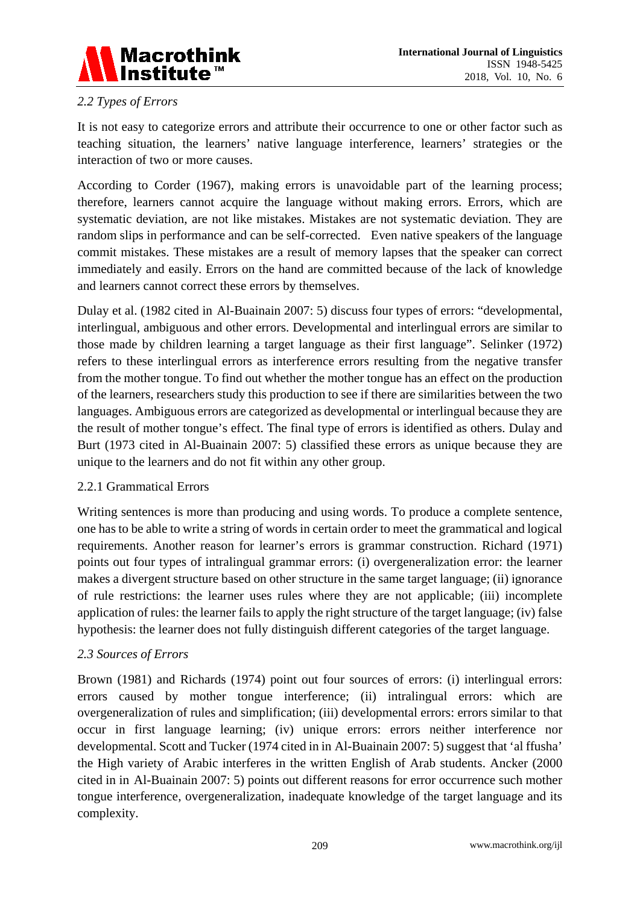

## *2.2 Types of Errors*

It is not easy to categorize errors and attribute their occurrence to one or other factor such as teaching situation, the learners' native language interference, learners' strategies or the interaction of two or more causes.

According to Corder (1967), making errors is unavoidable part of the learning process; therefore, learners cannot acquire the language without making errors. Errors, which are systematic deviation, are not like mistakes. Mistakes are not systematic deviation. They are random slips in performance and can be self-corrected. Even native speakers of the language commit mistakes. These mistakes are a result of memory lapses that the speaker can correct immediately and easily. Errors on the hand are committed because of the lack of knowledge and learners cannot correct these errors by themselves.

Dulay et al. (1982 cited in Al-Buainain 2007: 5) discuss four types of errors: "developmental, interlingual, ambiguous and other errors. Developmental and interlingual errors are similar to those made by children learning a target language as their first language". Selinker (1972) refers to these interlingual errors as interference errors resulting from the negative transfer from the mother tongue. To find out whether the mother tongue has an effect on the production of the learners, researchers study this production to see if there are similarities between the two languages. Ambiguous errors are categorized as developmental or interlingual because they are the result of mother tongue's effect. The final type of errors is identified as others. Dulay and Burt (1973 cited in Al-Buainain 2007: 5) classified these errors as unique because they are unique to the learners and do not fit within any other group.

#### 2.2.1 Grammatical Errors

Writing sentences is more than producing and using words. To produce a complete sentence, one has to be able to write a string of words in certain order to meet the grammatical and logical requirements. Another reason for learner's errors is grammar construction. Richard (1971) points out four types of intralingual grammar errors: (i) overgeneralization error: the learner makes a divergent structure based on other structure in the same target language; (ii) ignorance of rule restrictions: the learner uses rules where they are not applicable; (iii) incomplete application of rules: the learner fails to apply the right structure of the target language; (iv) false hypothesis: the learner does not fully distinguish different categories of the target language.

#### *2.3 Sources of Errors*

Brown (1981) and Richards (1974) point out four sources of errors: (i) interlingual errors: errors caused by mother tongue interference; (ii) intralingual errors: which are overgeneralization of rules and simplification; (iii) developmental errors: errors similar to that occur in first language learning; (iv) unique errors: errors neither interference nor developmental. Scott and Tucker (1974 cited in in Al-Buainain 2007: 5) suggest that 'al ffusha' the High variety of Arabic interferes in the written English of Arab students. Ancker (2000 cited in in Al-Buainain 2007: 5) points out different reasons for error occurrence such mother tongue interference, overgeneralization, inadequate knowledge of the target language and its complexity.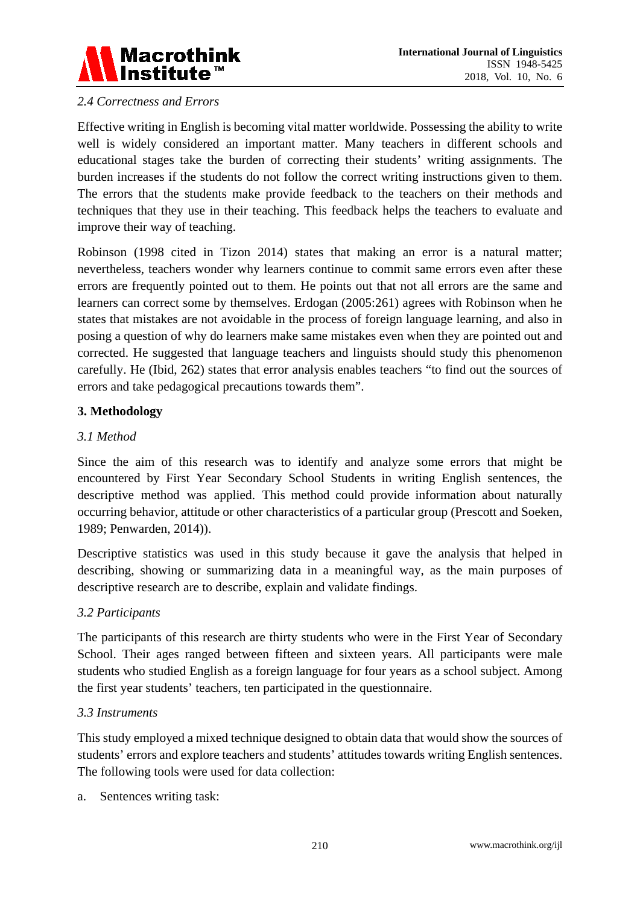

## *2.4 Correctness and Errors*

Effective writing in English is becoming vital matter worldwide. Possessing the ability to write well is widely considered an important matter. Many teachers in different schools and educational stages take the burden of correcting their students' writing assignments. The burden increases if the students do not follow the correct writing instructions given to them. The errors that the students make provide feedback to the teachers on their methods and techniques that they use in their teaching. This feedback helps the teachers to evaluate and improve their way of teaching.

Robinson (1998 cited in Tizon 2014) states that making an error is a natural matter; nevertheless, teachers wonder why learners continue to commit same errors even after these errors are frequently pointed out to them. He points out that not all errors are the same and learners can correct some by themselves. Erdogan (2005:261) agrees with Robinson when he states that mistakes are not avoidable in the process of foreign language learning, and also in posing a question of why do learners make same mistakes even when they are pointed out and corrected. He suggested that language teachers and linguists should study this phenomenon carefully. He (Ibid, 262) states that error analysis enables teachers "to find out the sources of errors and take pedagogical precautions towards them".

## **3. Methodology**

## *3.1 Method*

Since the aim of this research was to identify and analyze some errors that might be encountered by First Year Secondary School Students in writing English sentences, the descriptive method was applied. This method could provide information about naturally occurring behavior, attitude or other characteristics of a particular group (Prescott and Soeken, 1989; Penwarden, 2014)).

Descriptive statistics was used in this study because it gave the analysis that helped in describing, showing or summarizing data in a meaningful way, as the main purposes of descriptive research are to describe, explain and validate findings.

#### *3.2 Participants*

The participants of this research are thirty students who were in the First Year of Secondary School. Their ages ranged between fifteen and sixteen years. All participants were male students who studied English as a foreign language for four years as a school subject. Among the first year students' teachers, ten participated in the questionnaire.

#### *3.3 Instruments*

This study employed a mixed technique designed to obtain data that would show the sources of students' errors and explore teachers and students' attitudes towards writing English sentences. The following tools were used for data collection:

a. Sentences writing task: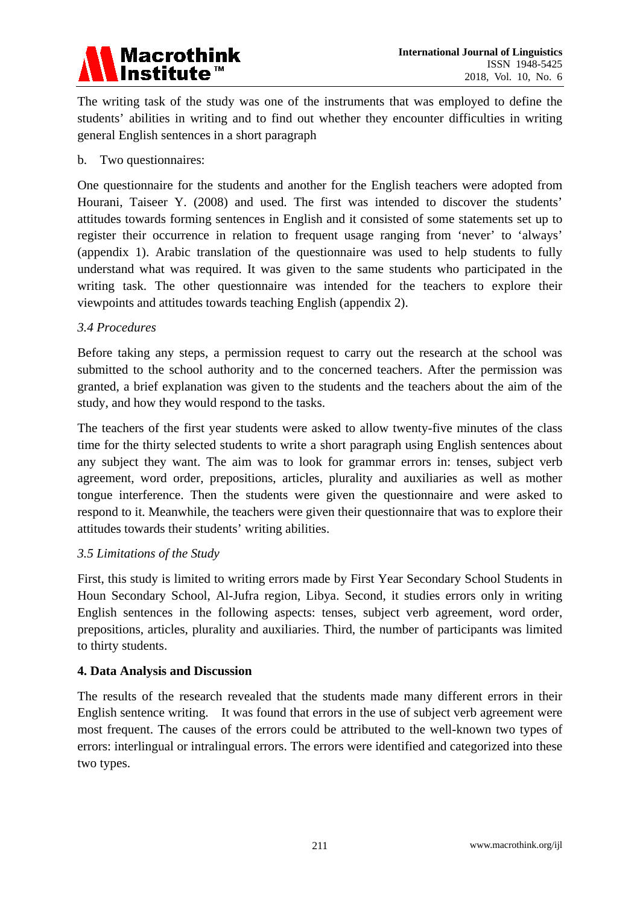

The writing task of the study was one of the instruments that was employed to define the students' abilities in writing and to find out whether they encounter difficulties in writing general English sentences in a short paragraph

#### b. Two questionnaires:

One questionnaire for the students and another for the English teachers were adopted from Hourani, Taiseer Y. (2008) and used. The first was intended to discover the students' attitudes towards forming sentences in English and it consisted of some statements set up to register their occurrence in relation to frequent usage ranging from 'never' to 'always' (appendix 1). Arabic translation of the questionnaire was used to help students to fully understand what was required. It was given to the same students who participated in the writing task. The other questionnaire was intended for the teachers to explore their viewpoints and attitudes towards teaching English (appendix 2).

#### *3.4 Procedures*

Before taking any steps, a permission request to carry out the research at the school was submitted to the school authority and to the concerned teachers. After the permission was granted, a brief explanation was given to the students and the teachers about the aim of the study, and how they would respond to the tasks.

The teachers of the first year students were asked to allow twenty-five minutes of the class time for the thirty selected students to write a short paragraph using English sentences about any subject they want. The aim was to look for grammar errors in: tenses, subject verb agreement, word order, prepositions, articles, plurality and auxiliaries as well as mother tongue interference. Then the students were given the questionnaire and were asked to respond to it. Meanwhile, the teachers were given their questionnaire that was to explore their attitudes towards their students' writing abilities.

#### *3.5 Limitations of the Study*

First, this study is limited to writing errors made by First Year Secondary School Students in Houn Secondary School, Al-Jufra region, Libya. Second, it studies errors only in writing English sentences in the following aspects: tenses, subject verb agreement, word order, prepositions, articles, plurality and auxiliaries. Third, the number of participants was limited to thirty students.

#### **4. Data Analysis and Discussion**

The results of the research revealed that the students made many different errors in their English sentence writing. It was found that errors in the use of subject verb agreement were most frequent. The causes of the errors could be attributed to the well-known two types of errors: interlingual or intralingual errors. The errors were identified and categorized into these two types.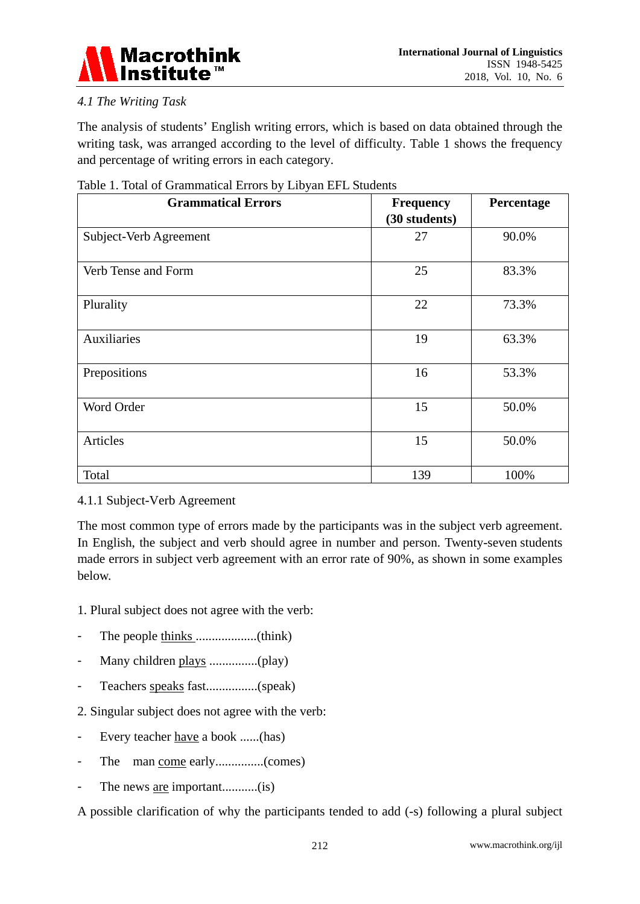

# *4.1 The Writing Task*

The analysis of students' English writing errors, which is based on data obtained through the writing task, was arranged according to the level of difficulty. Table 1 shows the frequency and percentage of writing errors in each category.

| <b>Grammatical Errors</b> | <b>Frequency</b><br>(30 students) | Percentage |
|---------------------------|-----------------------------------|------------|
| Subject-Verb Agreement    | 27                                | 90.0%      |
| Verb Tense and Form       | 25                                | 83.3%      |
| Plurality                 | 22                                | 73.3%      |
| Auxiliaries               | 19                                | 63.3%      |
| Prepositions              | 16                                | 53.3%      |
| Word Order                | 15                                | 50.0%      |
| Articles                  | 15                                | 50.0%      |
| Total                     | 139                               | 100%       |

## Table 1. Total of Grammatical Errors by Libyan EFL Students

## 4.1.1 Subject-Verb Agreement

The most common type of errors made by the participants was in the subject verb agreement. In English, the subject and verb should agree in number and person. Twenty-seven students made errors in subject verb agreement with an error rate of 90%, as shown in some examples below.

1. Plural subject does not agree with the verb:

- The people thinks ...................(think)
- Many children plays ...............(play)
- Teachers speaks fast................(speak)
- 2. Singular subject does not agree with the verb:
- Every teacher have a book ......(has)
- The man come early...............(comes)
- The news <u>are</u> important............(is)

A possible clarification of why the participants tended to add (-s) following a plural subject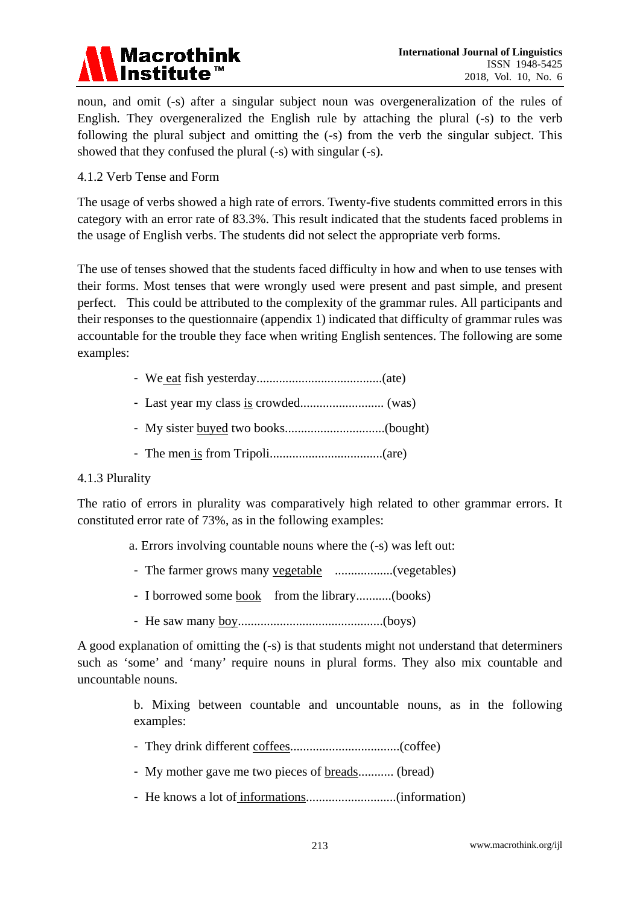

noun, and omit (-s) after a singular subject noun was overgeneralization of the rules of English. They overgeneralized the English rule by attaching the plural (-s) to the verb following the plural subject and omitting the (-s) from the verb the singular subject. This showed that they confused the plural (-s) with singular (-s).

## 4.1.2 Verb Tense and Form

The usage of verbs showed a high rate of errors. Twenty-five students committed errors in this category with an error rate of 83.3%. This result indicated that the students faced problems in the usage of English verbs. The students did not select the appropriate verb forms.

The use of tenses showed that the students faced difficulty in how and when to use tenses with their forms. Most tenses that were wrongly used were present and past simple, and present perfect. This could be attributed to the complexity of the grammar rules. All participants and their responses to the questionnaire (appendix 1) indicated that difficulty of grammar rules was accountable for the trouble they face when writing English sentences. The following are some examples:

- We eat fish yesterday.......................................(ate)
- Last year my class is crowded.......................... (was)
- My sister buyed two books...............................(bought)
- The men is from Tripoli...................................(are)

#### 4.1.3 Plurality

The ratio of errors in plurality was comparatively high related to other grammar errors. It constituted error rate of 73%, as in the following examples:

- a. Errors involving countable nouns where the (-s) was left out:
- The farmer grows many vegetable ..................(vegetables)
- I borrowed some book from the library............(books)
- He saw many boy.............................................(boys)

A good explanation of omitting the (-s) is that students might not understand that determiners such as 'some' and 'many' require nouns in plural forms. They also mix countable and uncountable nouns.

> b. Mixing between countable and uncountable nouns, as in the following examples:

- They drink different coffees..................................(coffee)
- My mother gave me two pieces of **breads**........... (bread)
- He knows a lot of informations............................(information)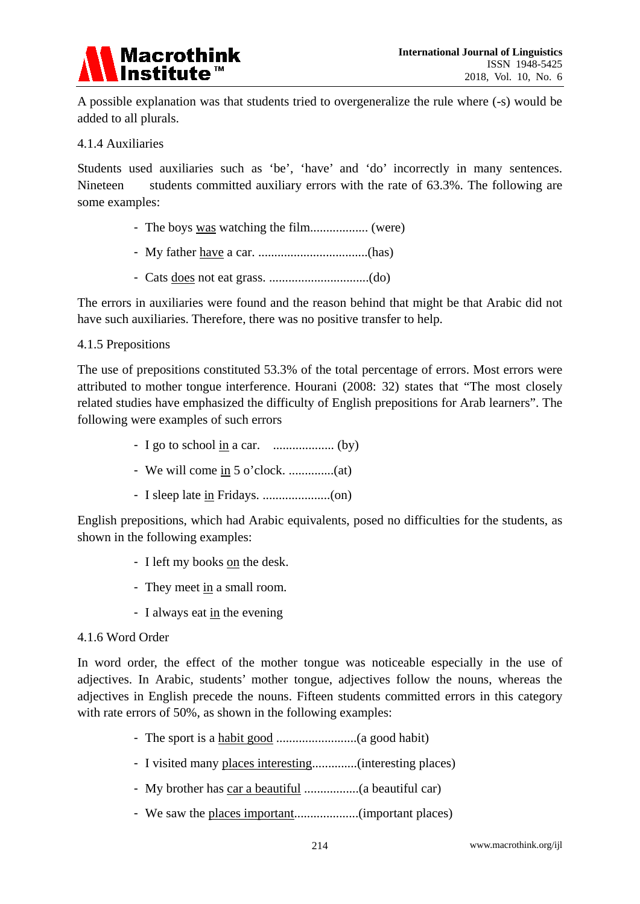

A possible explanation was that students tried to overgeneralize the rule where (-s) would be added to all plurals.

#### 4.1.4 Auxiliaries

Students used auxiliaries such as 'be', 'have' and 'do' incorrectly in many sentences. Nineteen students committed auxiliary errors with the rate of 63.3%. The following are some examples:

- The boys was watching the film.................. (were)
- My father have a car. ..................................(has)
- Cats does not eat grass. ...............................(do)

The errors in auxiliaries were found and the reason behind that might be that Arabic did not have such auxiliaries. Therefore, there was no positive transfer to help.

#### 4.1.5 Prepositions

The use of prepositions constituted 53.3% of the total percentage of errors. Most errors were attributed to mother tongue interference. Hourani (2008: 32) states that "The most closely related studies have emphasized the difficulty of English prepositions for Arab learners". The following were examples of such errors

- I go to school in a car. ................... (by)
- We will come in 5 o'clock. ..............(at)
- I sleep late in Fridays. .....................(on)

English prepositions, which had Arabic equivalents, posed no difficulties for the students, as shown in the following examples:

- I left my books on the desk.
- They meet in a small room.
- I always eat in the evening

#### 4.1.6 Word Order

In word order, the effect of the mother tongue was noticeable especially in the use of adjectives. In Arabic, students' mother tongue, adjectives follow the nouns, whereas the adjectives in English precede the nouns. Fifteen students committed errors in this category with rate errors of 50%, as shown in the following examples:

- The sport is a habit good .........................(a good habit)
- I visited many places interesting..............(interesting places)
- My brother has car a beautiful .................(a beautiful car)
- We saw the places important....................(important places)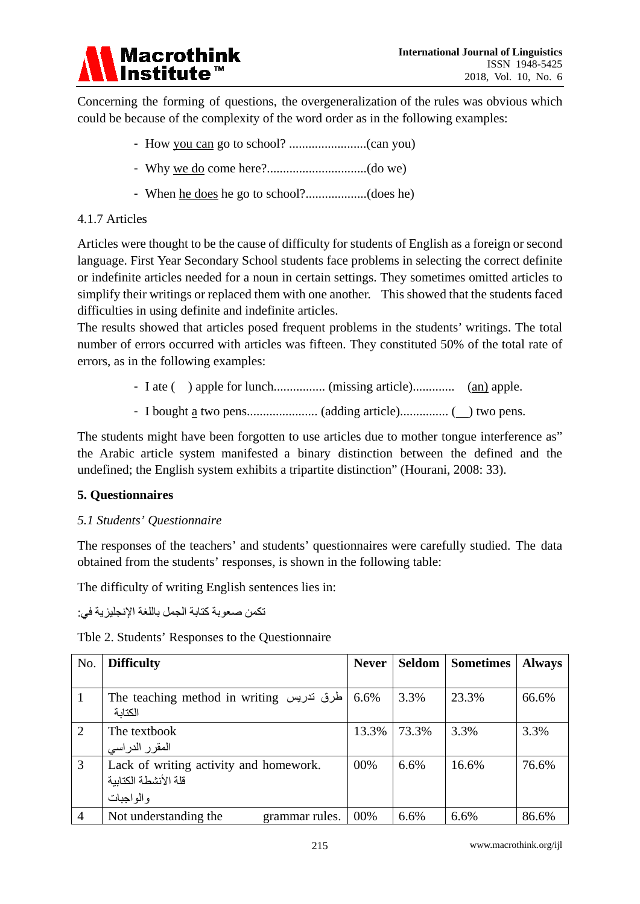

Concerning the forming of questions, the overgeneralization of the rules was obvious which could be because of the complexity of the word order as in the following examples:

- How you can go to school? ........................(can you)
- Why we do come here?...............................(do we)
- When he does he go to school?...................(does he)

## 4.1.7 Articles

Articles were thought to be the cause of difficulty for students of English as a foreign or second language. First Year Secondary School students face problems in selecting the correct definite or indefinite articles needed for a noun in certain settings. They sometimes omitted articles to simplify their writings or replaced them with one another. This showed that the students faced difficulties in using definite and indefinite articles.

The results showed that articles posed frequent problems in the students' writings. The total number of errors occurred with articles was fifteen. They constituted 50% of the total rate of errors, as in the following examples:

- I ate ( ) apple for lunch................ (missing article)............. (an) apple.
- I bought a two pens...................... (adding article)............... ( ) two pens.

The students might have been forgotten to use articles due to mother tongue interference as" the Arabic article system manifested a binary distinction between the defined and the undefined; the English system exhibits a tripartite distinction" (Hourani, 2008: 33).

## **5. Questionnaires**

## *5.1 Students' Questionnaire*

The responses of the teachers' and students' questionnaires were carefully studied. The data obtained from the students' responses, is shown in the following table:

The difficulty of writing English sentences lies in:

تكمن صعوبة كتابة الجمل باللغة الإنجلیزیة في:

Tble 2. Students' Responses to the Questionnaire

| No.            | <b>Difficulty</b>                                                           | <b>Never</b> | Seldom | <b>Sometimes</b> | <b>Always</b> |
|----------------|-----------------------------------------------------------------------------|--------------|--------|------------------|---------------|
|                |                                                                             |              |        |                  |               |
| $\vert$ 1      | The teaching method in writing طرق تدريس<br>الكتابة                         | 6.6%         | 3.3%   | 23.3%            | 66.6%         |
| 2              | The textbook<br>المقرر الدراسي                                              | 13.3%        | 73.3%  | 3.3%             | 3.3%          |
| $\overline{3}$ | Lack of writing activity and homework.<br>قلة الأنشطة الكتاببة<br>والواجبات | 00%          | 6.6%   | 16.6%            | 76.6%         |
| $\overline{4}$ | Not understanding the<br>grammar rules.                                     | 00%          | 6.6%   | 6.6%             | 86.6%         |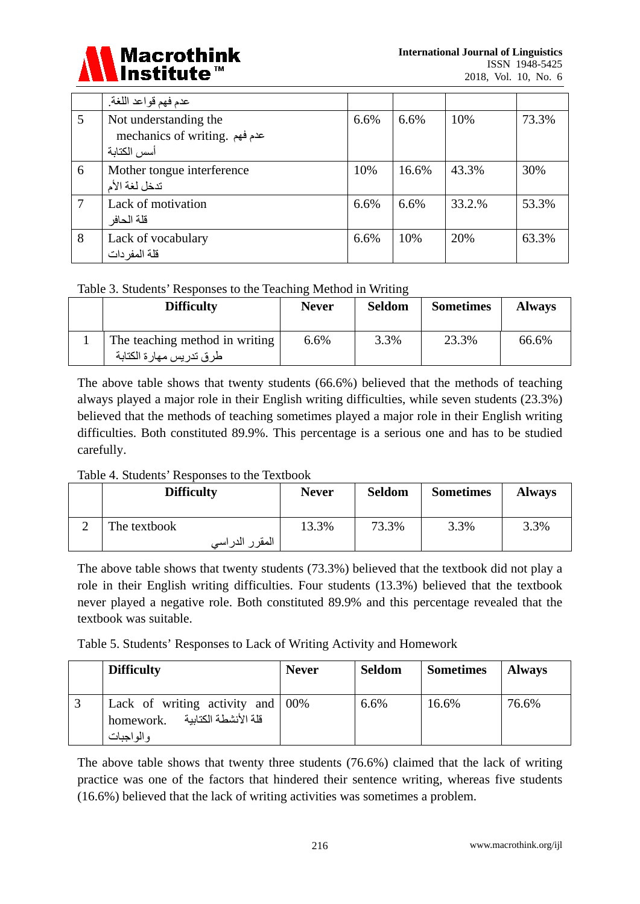

|   | عدم فهم قواعد اللغة.          |      |       |        |       |
|---|-------------------------------|------|-------|--------|-------|
| 5 | Not understanding the         | 6.6% | 6.6%  | 10%    | 73.3% |
|   | mechanics of writing. عدم فهم |      |       |        |       |
|   | أسس الكتابة                   |      |       |        |       |
| 6 | Mother tongue interference    | 10%  | 16.6% | 43.3%  | 30%   |
|   | تدخل لغة الأم                 |      |       |        |       |
| 7 | Lack of motivation            | 6.6% | 6.6%  | 33.2.% | 53.3% |
|   | قلة الحافر                    |      |       |        |       |
| 8 | Lack of vocabulary            | 6.6% | 10%   | 20%    | 63.3% |
|   | قلة المفر دات                 |      |       |        |       |

## Table 3. Students' Responses to the Teaching Method in Writing

| <b>Difficulty</b>                                         | <b>Never</b> | <b>Seldom</b> | <b>Sometimes</b> | <b>Always</b> |
|-----------------------------------------------------------|--------------|---------------|------------------|---------------|
| The teaching method in writing<br>طرق تدريس مهارة الكتابة | 6.6%         | 3.3%          | 23.3%            | 66.6%         |

The above table shows that twenty students (66.6%) believed that the methods of teaching always played a major role in their English writing difficulties, while seven students (23.3%) believed that the methods of teaching sometimes played a major role in their English writing difficulties. Both constituted 89.9%. This percentage is a serious one and has to be studied carefully.

## Table 4. Students' Responses to the Textbook

| <b>Difficulty</b>  | <b>Never</b> | <b>Seldom</b> | <b>Sometimes</b> | <b>Always</b> |
|--------------------|--------------|---------------|------------------|---------------|
| The textbook       | 13.3%        | 73.3%         | 3.3%             | 3.3%          |
| المقر ر<br>الدراسي |              |               |                  |               |

The above table shows that twenty students (73.3%) believed that the textbook did not play a role in their English writing difficulties. Four students (13.3%) believed that the textbook never played a negative role. Both constituted 89.9% and this percentage revealed that the textbook was suitable.

Table 5. Students' Responses to Lack of Writing Activity and Homework

| <b>Difficulty</b>                                                                      | <b>Never</b> | <b>Seldom</b> | <b>Sometimes</b> | <b>Always</b> |
|----------------------------------------------------------------------------------------|--------------|---------------|------------------|---------------|
| Lack of writing activity and $00\%$<br>قلة الأنشطة الكتابية<br>homework.<br>والمواجبات |              | 6.6%          | 16.6%            | 76.6%         |

The above table shows that twenty three students (76.6%) claimed that the lack of writing practice was one of the factors that hindered their sentence writing, whereas five students (16.6%) believed that the lack of writing activities was sometimes a problem.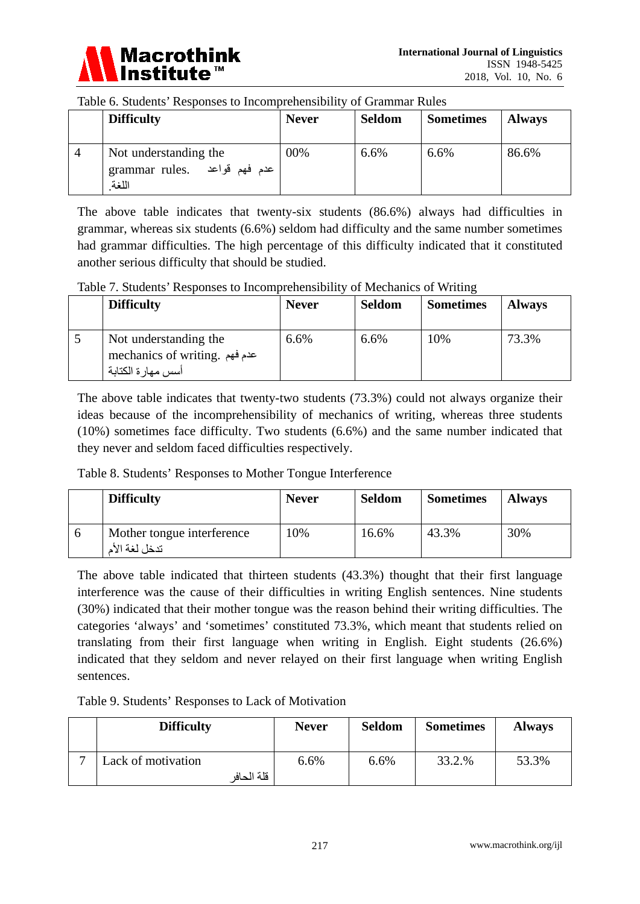

#### Table 6. Students' Responses to Incomprehensibility of Grammar Rules

|                | <b>Difficulty</b>                                              | <b>Never</b> | <b>Seldom</b> | <b>Sometimes</b> | <b>Always</b> |
|----------------|----------------------------------------------------------------|--------------|---------------|------------------|---------------|
| $\overline{4}$ | Not understanding the<br>grammar rules. عدم فهم قواعد<br>اللغة | 00%          | 6.6%          | 6.6%             | 86.6%         |

The above table indicates that twenty-six students (86.6%) always had difficulties in grammar, whereas six students (6.6%) seldom had difficulty and the same number sometimes had grammar difficulties. The high percentage of this difficulty indicated that it constituted another serious difficulty that should be studied.

Table 7. Students' Responses to Incomprehensibility of Mechanics of Writing

| <b>Difficulty</b>                                                            | <b>Never</b> | <b>Seldom</b> | <b>Sometimes</b> | <b>Always</b> |
|------------------------------------------------------------------------------|--------------|---------------|------------------|---------------|
| Not understanding the<br>mechanics of writing. عدم فهم<br>أسس مهار ة الكتابة | 6.6%         | 6.6%          | 10%              | 73.3%         |

The above table indicates that twenty-two students (73.3%) could not always organize their ideas because of the incomprehensibility of mechanics of writing, whereas three students (10%) sometimes face difficulty. Two students (6.6%) and the same number indicated that they never and seldom faced difficulties respectively.

Table 8. Students' Responses to Mother Tongue Interference

| <b>Difficulty</b>                           | <b>Never</b> | <b>Seldom</b> | <b>Sometimes</b> | <b>Always</b> |
|---------------------------------------------|--------------|---------------|------------------|---------------|
| Mother tongue interference<br>تدخل لغة الأم | 10%          | 16.6%         | 43.3%            | 30%           |

The above table indicated that thirteen students (43.3%) thought that their first language interference was the cause of their difficulties in writing English sentences. Nine students (30%) indicated that their mother tongue was the reason behind their writing difficulties. The categories 'always' and 'sometimes' constituted 73.3%, which meant that students relied on translating from their first language when writing in English. Eight students (26.6%) indicated that they seldom and never relayed on their first language when writing English sentences.

Table 9. Students' Responses to Lack of Motivation

|   | <b>Difficulty</b>                | <b>Never</b> | <b>Seldom</b> | <b>Sometimes</b> | <b>Always</b> |
|---|----------------------------------|--------------|---------------|------------------|---------------|
| − | Lack of motivation<br>قلة الحافر | 6.6%         | 6.6%          | 33.2.%           | 53.3%         |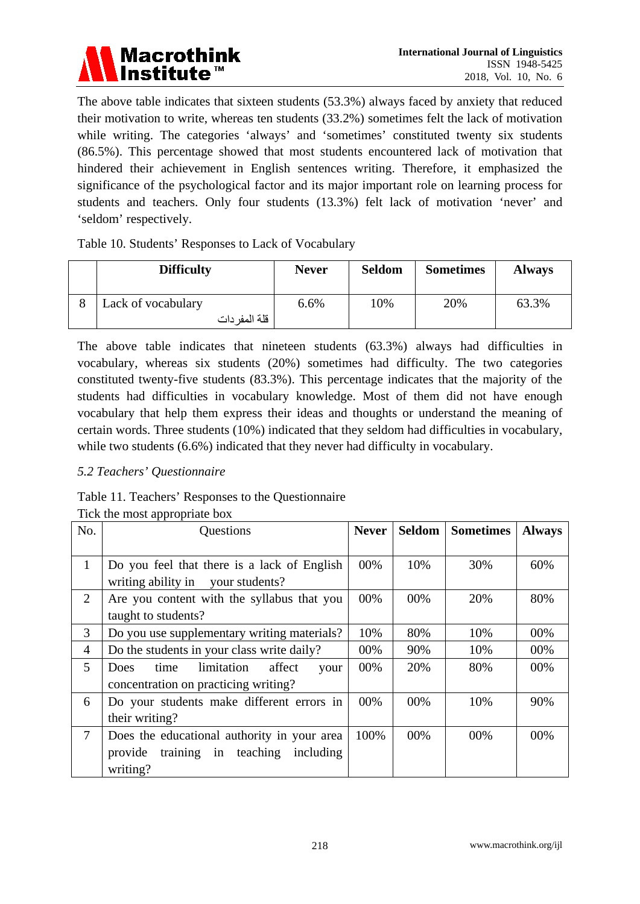

The above table indicates that sixteen students (53.3%) always faced by anxiety that reduced their motivation to write, whereas ten students (33.2%) sometimes felt the lack of motivation while writing. The categories 'always' and 'sometimes' constituted twenty six students (86.5%). This percentage showed that most students encountered lack of motivation that hindered their achievement in English sentences writing. Therefore, it emphasized the significance of the psychological factor and its major important role on learning process for students and teachers. Only four students (13.3%) felt lack of motivation 'never' and 'seldom' respectively.

Table 10. Students' Responses to Lack of Vocabulary

| <b>Difficulty</b>                   | <b>Never</b> | <b>Seldom</b> | <b>Sometimes</b> | <b>Always</b> |
|-------------------------------------|--------------|---------------|------------------|---------------|
| Lack of vocabulary<br>قلة المفر دات | 6.6%         | 10%           | 20%              | 63.3%         |

The above table indicates that nineteen students (63.3%) always had difficulties in vocabulary, whereas six students (20%) sometimes had difficulty. The two categories constituted twenty-five students (83.3%). This percentage indicates that the majority of the students had difficulties in vocabulary knowledge. Most of them did not have enough vocabulary that help them express their ideas and thoughts or understand the meaning of certain words. Three students (10%) indicated that they seldom had difficulties in vocabulary, while two students (6.6%) indicated that they never had difficulty in vocabulary.

## *5.2 Teachers' Questionnaire*

Table 11. Teachers' Responses to the Questionnaire

| No.            | Questions                                                                                               | <b>Never</b> | Seldom | <b>Sometimes</b> | <b>Always</b> |
|----------------|---------------------------------------------------------------------------------------------------------|--------------|--------|------------------|---------------|
| $\mathbf{1}$   | Do you feel that there is a lack of English<br>writing ability in your students?                        | 00%          | 10%    | 30%              | 60%           |
| $\overline{2}$ | Are you content with the syllabus that you<br>taught to students?                                       | 00%          | 00%    | 20%              | 80%           |
| 3              | Do you use supplementary writing materials?                                                             | 10%          | 80%    | 10%              | 00%           |
| 4              | Do the students in your class write daily?                                                              | 00%          | 90%    | 10%              | 00%           |
| 5              | time<br>limitation<br>affect<br><b>Does</b><br>your<br>concentration on practicing writing?             | 00%          | 20%    | 80%              | 00%           |
| 6              | Do your students make different errors in<br>their writing?                                             | 00%          | 00%    | 10%              | 90%           |
| $\tau$         | Does the educational authority in your area<br>training in teaching<br>provide<br>including<br>writing? | 100%         | 00%    | 00%              | 00%           |

Tick the most appropriate box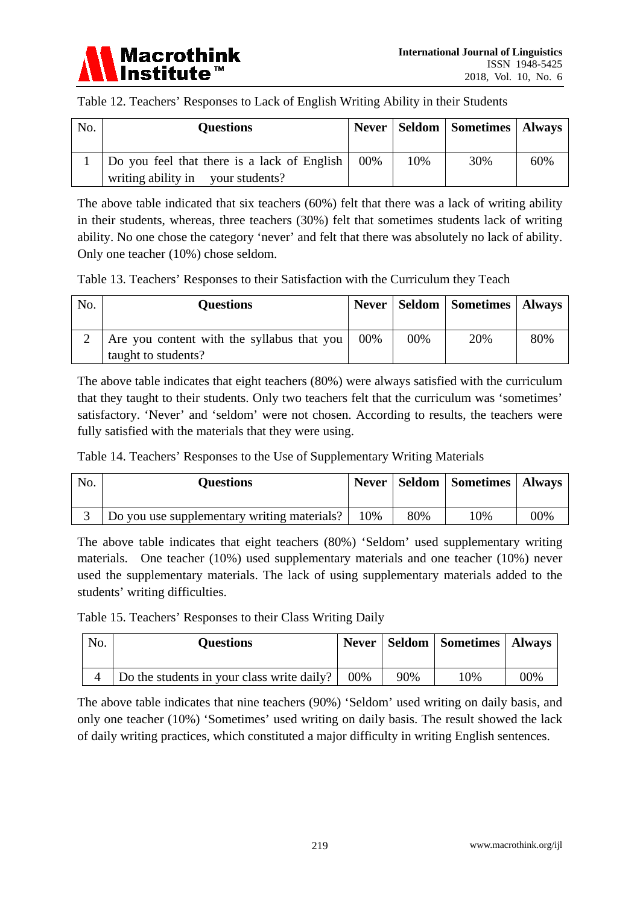

|  | Table 12. Teachers' Responses to Lack of English Writing Ability in their Students |
|--|------------------------------------------------------------------------------------|
|  |                                                                                    |

| No. | <b>Questions</b>                            |     |     | Never   Seldom   Sometimes   Always |     |
|-----|---------------------------------------------|-----|-----|-------------------------------------|-----|
|     | Do you feel that there is a lack of English | 00% | 10% | 30%                                 | 60% |
|     | writing ability in your students?           |     |     |                                     |     |

The above table indicated that six teachers (60%) felt that there was a lack of writing ability in their students, whereas, three teachers (30%) felt that sometimes students lack of writing ability. No one chose the category 'never' and felt that there was absolutely no lack of ability. Only one teacher (10%) chose seldom.

|  | Table 13. Teachers' Responses to their Satisfaction with the Curriculum they Teach |  |  |
|--|------------------------------------------------------------------------------------|--|--|
|--|------------------------------------------------------------------------------------|--|--|

| No. | <b>Questions</b>                           | <b>Never</b> |     | Seldom   Sometimes   Always |     |
|-----|--------------------------------------------|--------------|-----|-----------------------------|-----|
|     | Are you content with the syllabus that you | 00%          | 00% | 20%                         | 80% |
|     | taught to students?                        |              |     |                             |     |

The above table indicates that eight teachers (80%) were always satisfied with the curriculum that they taught to their students. Only two teachers felt that the curriculum was 'sometimes' satisfactory. 'Never' and 'seldom' were not chosen. According to results, the teachers were fully satisfied with the materials that they were using.

Table 14. Teachers' Responses to the Use of Supplementary Writing Materials

| No. | <b>Questions</b>                            |       |     | <b>Never   Seldom   Sometimes   Always</b> |     |
|-----|---------------------------------------------|-------|-----|--------------------------------------------|-----|
|     | Do you use supplementary writing materials? | $0\%$ | 80% | 10%                                        | 00% |

The above table indicates that eight teachers (80%) 'Seldom' used supplementary writing materials. One teacher (10%) used supplementary materials and one teacher (10%) never used the supplementary materials. The lack of using supplementary materials added to the students' writing difficulties.

Table 15. Teachers' Responses to their Class Writing Daily

| No. | <b>Questions</b>                           |        |     | Never   Seldom   Sometimes   Always |     |
|-----|--------------------------------------------|--------|-----|-------------------------------------|-----|
|     | Do the students in your class write daily? | $00\%$ | 90% | $10\%$                              | 00% |

The above table indicates that nine teachers (90%) 'Seldom' used writing on daily basis, and only one teacher (10%) 'Sometimes' used writing on daily basis. The result showed the lack of daily writing practices, which constituted a major difficulty in writing English sentences.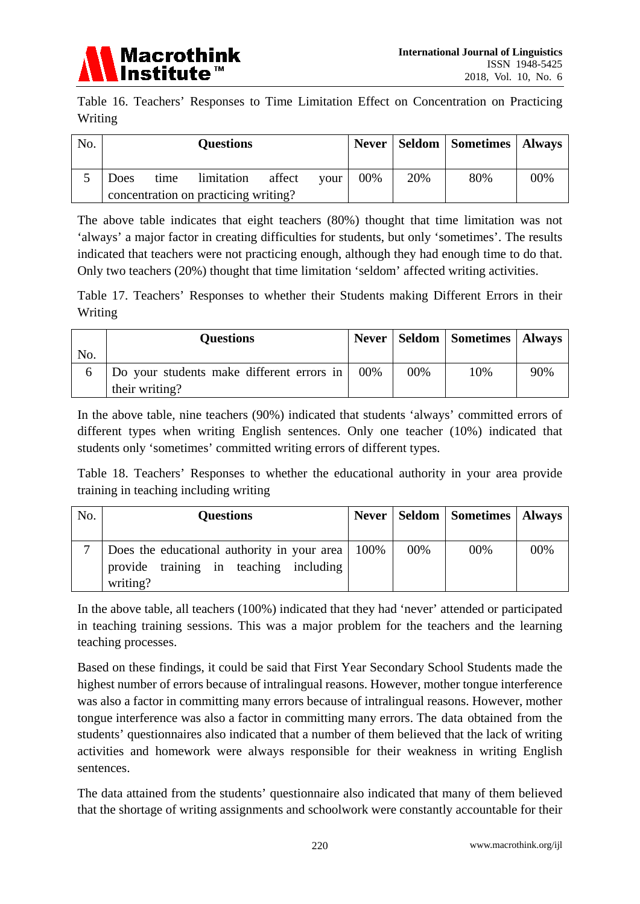

Table 16. Teachers' Responses to Time Limitation Effect on Concentration on Practicing Writing

| No. |      |      | <b>Questions</b>                     |  |      |     |     | <b>Never   Seldom   Sometimes   Always</b> |     |
|-----|------|------|--------------------------------------|--|------|-----|-----|--------------------------------------------|-----|
|     | Does | time | limitation affect                    |  | vour | 00% | 20% | 80%                                        | 00% |
|     |      |      | concentration on practicing writing? |  |      |     |     |                                            |     |

The above table indicates that eight teachers (80%) thought that time limitation was not 'always' a major factor in creating difficulties for students, but only 'sometimes'. The results indicated that teachers were not practicing enough, although they had enough time to do that. Only two teachers (20%) thought that time limitation 'seldom' affected writing activities.

Table 17. Teachers' Responses to whether their Students making Different Errors in their Writing

|              | <b>Questions</b>                          |     |     | Never   Seldom   Sometimes   Always |     |
|--------------|-------------------------------------------|-----|-----|-------------------------------------|-----|
| No.          |                                           |     |     |                                     |     |
| <sub>0</sub> | Do your students make different errors in | 00% | 00% | 10%                                 | 90% |
|              | their writing?                            |     |     |                                     |     |

In the above table, nine teachers (90%) indicated that students 'always' committed errors of different types when writing English sentences. Only one teacher (10%) indicated that students only 'sometimes' committed writing errors of different types.

Table 18. Teachers' Responses to whether the educational authority in your area provide training in teaching including writing

| No. | <b>Questions</b>                                                                                               |     | Never   Seldom   Sometimes   Always |     |
|-----|----------------------------------------------------------------------------------------------------------------|-----|-------------------------------------|-----|
|     | Does the educational authority in your area $\vert$ 100%<br>provide training in teaching including<br>writing? | 00% | 00%                                 | 00% |

In the above table, all teachers (100%) indicated that they had 'never' attended or participated in teaching training sessions. This was a major problem for the teachers and the learning teaching processes.

Based on these findings, it could be said that First Year Secondary School Students made the highest number of errors because of intralingual reasons. However, mother tongue interference was also a factor in committing many errors because of intralingual reasons. However, mother tongue interference was also a factor in committing many errors. The data obtained from the students' questionnaires also indicated that a number of them believed that the lack of writing activities and homework were always responsible for their weakness in writing English sentences.

The data attained from the students' questionnaire also indicated that many of them believed that the shortage of writing assignments and schoolwork were constantly accountable for their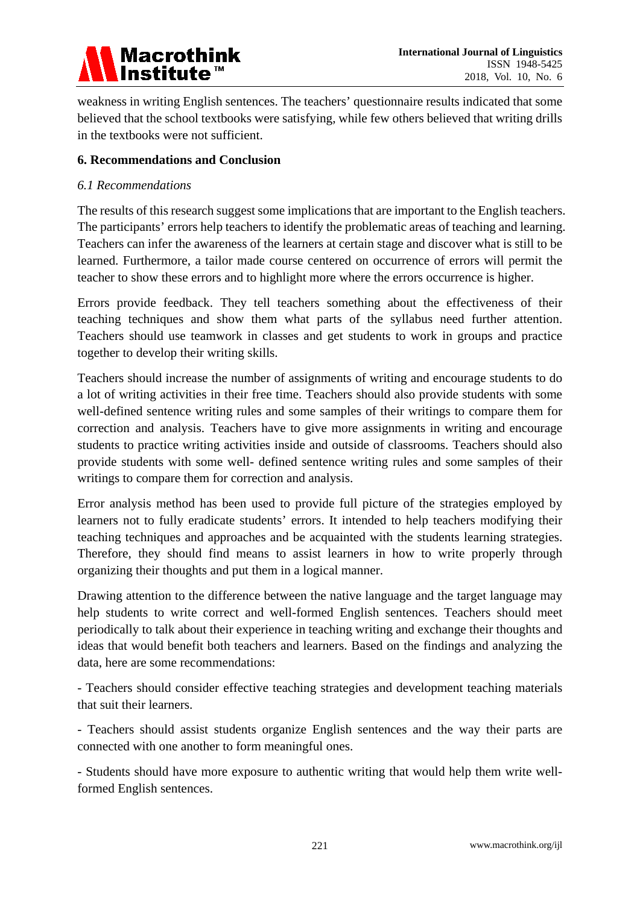

weakness in writing English sentences. The teachers' questionnaire results indicated that some believed that the school textbooks were satisfying, while few others believed that writing drills in the textbooks were not sufficient.

## **6. Recommendations and Conclusion**

#### *6.1 Recommendations*

The results of this research suggest some implications that are important to the English teachers. The participants' errors help teachers to identify the problematic areas of teaching and learning. Teachers can infer the awareness of the learners at certain stage and discover what is still to be learned. Furthermore, a tailor made course centered on occurrence of errors will permit the teacher to show these errors and to highlight more where the errors occurrence is higher.

Errors provide feedback. They tell teachers something about the effectiveness of their teaching techniques and show them what parts of the syllabus need further attention. Teachers should use teamwork in classes and get students to work in groups and practice together to develop their writing skills.

Teachers should increase the number of assignments of writing and encourage students to do a lot of writing activities in their free time. Teachers should also provide students with some well-defined sentence writing rules and some samples of their writings to compare them for correction and analysis. Teachers have to give more assignments in writing and encourage students to practice writing activities inside and outside of classrooms. Teachers should also provide students with some well- defined sentence writing rules and some samples of their writings to compare them for correction and analysis.

Error analysis method has been used to provide full picture of the strategies employed by learners not to fully eradicate students' errors. It intended to help teachers modifying their teaching techniques and approaches and be acquainted with the students learning strategies. Therefore, they should find means to assist learners in how to write properly through organizing their thoughts and put them in a logical manner.

Drawing attention to the difference between the native language and the target language may help students to write correct and well-formed English sentences. Teachers should meet periodically to talk about their experience in teaching writing and exchange their thoughts and ideas that would benefit both teachers and learners. Based on the findings and analyzing the data, here are some recommendations:

- Teachers should consider effective teaching strategies and development teaching materials that suit their learners.

- Teachers should assist students organize English sentences and the way their parts are connected with one another to form meaningful ones.

- Students should have more exposure to authentic writing that would help them write wellformed English sentences.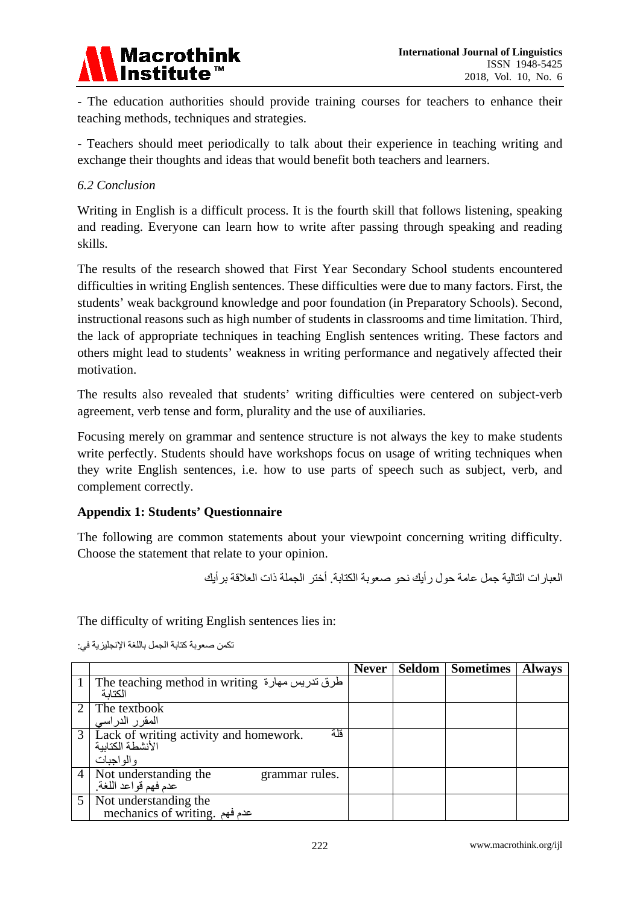

- The education authorities should provide training courses for teachers to enhance their teaching methods, techniques and strategies.

- Teachers should meet periodically to talk about their experience in teaching writing and exchange their thoughts and ideas that would benefit both teachers and learners.

## *6.2 Conclusion*

Writing in English is a difficult process. It is the fourth skill that follows listening, speaking and reading. Everyone can learn how to write after passing through speaking and reading skills.

The results of the research showed that First Year Secondary School students encountered difficulties in writing English sentences. These difficulties were due to many factors. First, the students' weak background knowledge and poor foundation (in Preparatory Schools). Second, instructional reasons such as high number of students in classrooms and time limitation. Third, the lack of appropriate techniques in teaching English sentences writing. These factors and others might lead to students' weakness in writing performance and negatively affected their motivation.

The results also revealed that students' writing difficulties were centered on subject-verb agreement, verb tense and form, plurality and the use of auxiliaries.

Focusing merely on grammar and sentence structure is not always the key to make students write perfectly. Students should have workshops focus on usage of writing techniques when they write English sentences, i.e. how to use parts of speech such as subject, verb, and complement correctly.

## **Appendix 1: Students' Questionnaire**

The following are common statements about your viewpoint concerning writing difficulty. Choose the statement that relate to your opinion.

العبارات التالیة جمل عامة حول رأیك نحو صعوبة الكتابة. أختر الجملة ذات العلاقة برأیك

The difficulty of writing English sentences lies in:

|                |                                                                                  | <b>Never</b> | Seldom Sometimes | <b>Always</b> |
|----------------|----------------------------------------------------------------------------------|--------------|------------------|---------------|
|                | طرق تدريس مهارة The teaching method in writing<br>الكتابة                        |              |                  |               |
|                | The textbook<br>المقرر الدراسي                                                   |              |                  |               |
|                | قلة<br>3 Lack of writing activity and homework.<br>الأنشطة الكتابية<br>والواجبات |              |                  |               |
| $\overline{4}$ | Not understanding the<br>grammar rules.<br>عدم فهم قواعد اللغة.                  |              |                  |               |
| 5              | Not understanding the<br>mechanics of writing. عدم فهم                           |              |                  |               |

تكمن صعوبة كتابة الجمل باللغة الإنجلیزیة في: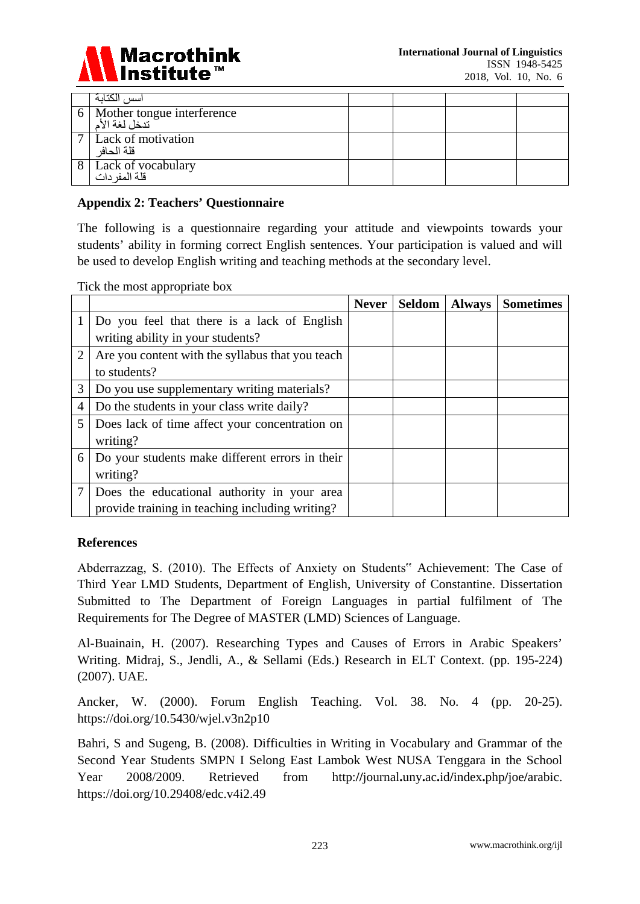

|                | الكتابة<br>اسس                              |  |  |
|----------------|---------------------------------------------|--|--|
|                | Mother tongue interference<br>تدخل لغة الأم |  |  |
| $\overline{ }$ | Lack of motivation<br>قلة الحافر            |  |  |
|                | Lack of vocabulary<br>قلة المفر دات         |  |  |

### **Appendix 2: Teachers' Questionnaire**

The following is a questionnaire regarding your attitude and viewpoints towards your students' ability in forming correct English sentences. Your participation is valued and will be used to develop English writing and teaching methods at the secondary level.

Tick the most appropriate box

|                |                                                  | <b>Never</b> | Seldom | <b>Always</b> | <b>Sometimes</b> |
|----------------|--------------------------------------------------|--------------|--------|---------------|------------------|
|                | Do you feel that there is a lack of English      |              |        |               |                  |
|                | writing ability in your students?                |              |        |               |                  |
| $\overline{2}$ | Are you content with the syllabus that you teach |              |        |               |                  |
|                | to students?                                     |              |        |               |                  |
| 3              | Do you use supplementary writing materials?      |              |        |               |                  |
| 4              | Do the students in your class write daily?       |              |        |               |                  |
| 5              | Does lack of time affect your concentration on   |              |        |               |                  |
|                | writing?                                         |              |        |               |                  |
| 6              | Do your students make different errors in their  |              |        |               |                  |
|                | writing?                                         |              |        |               |                  |
|                | Does the educational authority in your area      |              |        |               |                  |
|                | provide training in teaching including writing?  |              |        |               |                  |

#### **References**

Abderrazzag, S. (2010). The Effects of Anxiety on Students" Achievement: The Case of Third Year LMD Students, Department of English, University of Constantine. Dissertation Submitted to The Department of Foreign Languages in partial fulfilment of The Requirements for The Degree of MASTER (LMD) Sciences of Language.

Al-Buainain, H. (2007). Researching Types and Causes of Errors in Arabic Speakers' Writing. Midraj, S., Jendli, A., & Sellami (Eds.) Research in ELT Context. (pp. 195-224) (2007). UAE.

Ancker, W. (2000). Forum English Teaching. Vol. 38. No. 4 (pp. 20-25). https://doi.org/10.5430/wjel.v3n2p10

Bahri, S and Sugeng, B. (2008). Difficulties in Writing in Vocabulary and Grammar of the Second Year Students SMPN I Selong East Lambok West NUSA Tenggara in the School Year 2008/2009. Retrieved from http:**//**journal**.**uny**.**ac**.**id**/**index**.**php**/**joe**/**arabic. https://doi.org/10.29408/edc.v4i2.49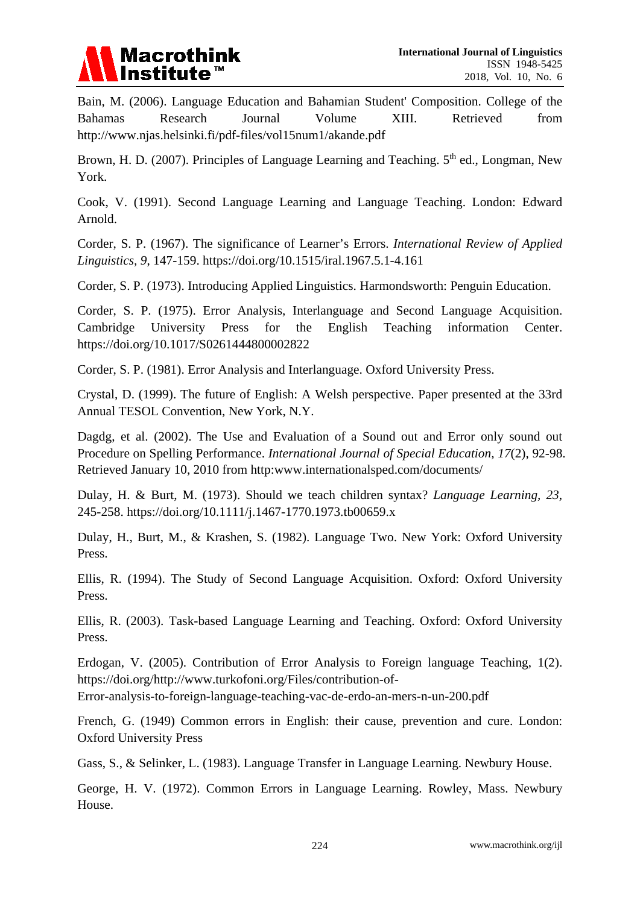

Bain, M. (2006). Language Education and Bahamian Student' Composition. College of the Bahamas Research Journal Volume XIII. Retrieved from http://www.njas.helsinki.fi/pdf-files/vol15num1/akande.pdf

Brown, H. D. (2007). Principles of Language Learning and Teaching.  $5<sup>th</sup>$  ed., Longman, New York.

Cook, V. (1991). Second Language Learning and Language Teaching. London: Edward Arnold.

Corder, S. P. (1967). The significance of Learner's Errors. *International Review of Applied Linguistics, 9*, 147-159. https://doi.org/10.1515/iral.1967.5.1-4.161

Corder, S. P. (1973). Introducing Applied Linguistics. Harmondsworth: Penguin Education.

Corder, S. P. (1975). Error Analysis, Interlanguage and Second Language Acquisition. Cambridge University Press for the English Teaching information Center. https://doi.org/10.1017/S0261444800002822

Corder, S. P. (1981). Error Analysis and Interlanguage. Oxford University Press.

Crystal, D. (1999). The future of English: A Welsh perspective. Paper presented at the 33rd Annual TESOL Convention, New York, N.Y.

Dagdg, et al. (2002). The Use and Evaluation of a Sound out and Error only sound out Procedure on Spelling Performance. *International Journal of Special Education, 17*(2), 92-98. Retrieved January 10, 2010 from http:www.internationalsped.com/documents/

Dulay, H. & Burt, M. (1973). Should we teach children syntax? *Language Learning, 23*, 245-258. https://doi.org/10.1111/j.1467-1770.1973.tb00659.x

Dulay, H., Burt, M., & Krashen, S. (1982). Language Two. New York: Oxford University Press.

Ellis, R. (1994). The Study of Second Language Acquisition. Oxford: Oxford University Press.

Ellis, R. (2003). Task-based Language Learning and Teaching. Oxford: Oxford University Press.

Erdogan, V. (2005). Contribution of Error Analysis to Foreign language Teaching, 1(2). https://doi.org/http://www.turkofoni.org/Files/contribution-of-

Error-analysis-to-foreign-language-teaching-vac-de-erdo-an-mers-n-un-200.pdf

French, G. (1949) Common errors in English: their cause, prevention and cure. London: Oxford University Press

Gass, S., & Selinker, L. (1983). Language Transfer in Language Learning. Newbury House.

George, H. V. (1972). Common Errors in Language Learning. Rowley, Mass. Newbury House.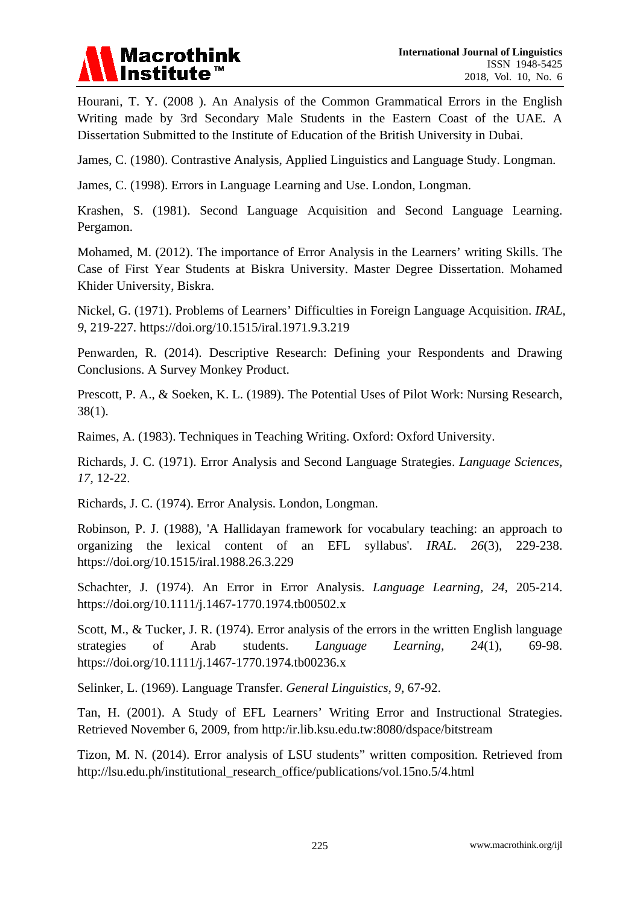

Hourani, T. Y. (2008 ). An Analysis of the Common Grammatical Errors in the English Writing made by 3rd Secondary Male Students in the Eastern Coast of the UAE. A Dissertation Submitted to the Institute of Education of the British University in Dubai.

James, C. (1980). Contrastive Analysis, Applied Linguistics and Language Study. Longman.

James, C. (1998). Errors in Language Learning and Use. London, Longman.

Krashen, S. (1981). Second Language Acquisition and Second Language Learning. Pergamon.

Mohamed, M. (2012). The importance of Error Analysis in the Learners' writing Skills. The Case of First Year Students at Biskra University. Master Degree Dissertation. Mohamed Khider University, Biskra.

Nickel, G. (1971). Problems of Learners' Difficulties in Foreign Language Acquisition. *IRAL, 9*, 219-227. https://doi.org/10.1515/iral.1971.9.3.219

Penwarden, R. (2014). Descriptive Research: Defining your Respondents and Drawing Conclusions. A Survey Monkey Product.

Prescott, P. A., & Soeken, K. L. (1989). The Potential Uses of Pilot Work: Nursing Research, 38(1).

Raimes, A. (1983). Techniques in Teaching Writing. Oxford: Oxford University.

Richards, J. C. (1971). Error Analysis and Second Language Strategies. *Language Sciences, 17*, 12-22.

Richards, J. C. (1974). Error Analysis. London, Longman.

Robinson, P. J. (1988), 'A Hallidayan framework for vocabulary teaching: an approach to organizing the lexical content of an EFL syllabus'. *IRAL. 26*(3), 229-238. https://doi.org/10.1515/iral.1988.26.3.229

Schachter, J. (1974). An Error in Error Analysis. *Language Learning, 24*, 205-214. https://doi.org/10.1111/j.1467-1770.1974.tb00502.x

Scott, M., & Tucker, J. R. (1974). Error analysis of the errors in the written English language strategies of Arab students. *Language Learning, 24*(1), 69-98. https://doi.org/10.1111/j.1467-1770.1974.tb00236.x

Selinker, L. (1969). Language Transfer. *General Linguistics, 9*, 67-92.

Tan, H. (2001). A Study of EFL Learners' Writing Error and Instructional Strategies. Retrieved November 6, 2009, from http:/ir.lib.ksu.edu.tw:8080/dspace/bitstream

Tizon, M. N. (2014). Error analysis of LSU students" written composition. Retrieved from http://lsu.edu.ph/institutional\_research\_office/publications/vol.15no.5/4.html